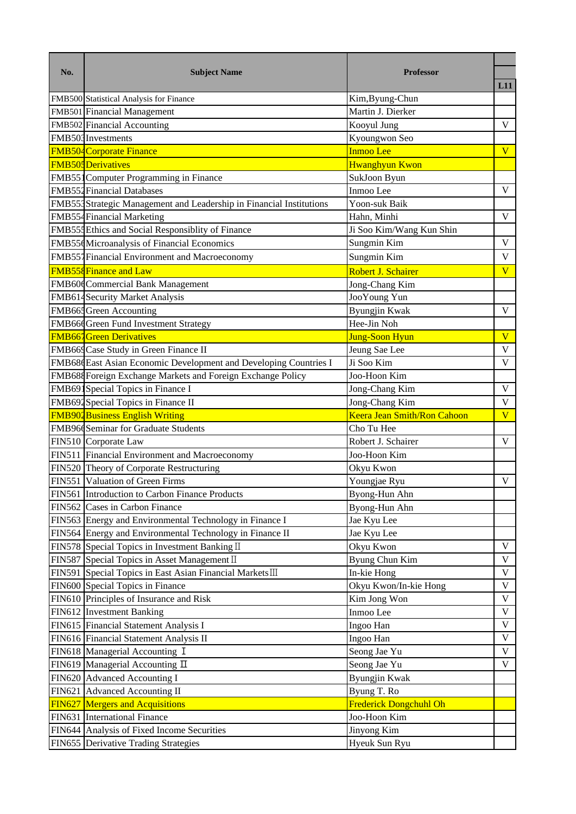| No. | <b>Subject Name</b>                                                                                                                                                                                                                                                                                                                                                                                                                                                                                                                                                                                                                                                                                                                                                                                                                                                                                                                                        | <b>Professor</b>      |                            |  |  |  |  |
|-----|------------------------------------------------------------------------------------------------------------------------------------------------------------------------------------------------------------------------------------------------------------------------------------------------------------------------------------------------------------------------------------------------------------------------------------------------------------------------------------------------------------------------------------------------------------------------------------------------------------------------------------------------------------------------------------------------------------------------------------------------------------------------------------------------------------------------------------------------------------------------------------------------------------------------------------------------------------|-----------------------|----------------------------|--|--|--|--|
|     |                                                                                                                                                                                                                                                                                                                                                                                                                                                                                                                                                                                                                                                                                                                                                                                                                                                                                                                                                            |                       | L11                        |  |  |  |  |
|     |                                                                                                                                                                                                                                                                                                                                                                                                                                                                                                                                                                                                                                                                                                                                                                                                                                                                                                                                                            | Kim, Byung-Chun       |                            |  |  |  |  |
|     |                                                                                                                                                                                                                                                                                                                                                                                                                                                                                                                                                                                                                                                                                                                                                                                                                                                                                                                                                            |                       |                            |  |  |  |  |
|     |                                                                                                                                                                                                                                                                                                                                                                                                                                                                                                                                                                                                                                                                                                                                                                                                                                                                                                                                                            | Kooyul Jung           | $\mathbf{V}$               |  |  |  |  |
|     |                                                                                                                                                                                                                                                                                                                                                                                                                                                                                                                                                                                                                                                                                                                                                                                                                                                                                                                                                            | Kyoungwon Seo         |                            |  |  |  |  |
|     |                                                                                                                                                                                                                                                                                                                                                                                                                                                                                                                                                                                                                                                                                                                                                                                                                                                                                                                                                            | <b>Inmoo Lee</b>      | $\overline{\mathbf{V}}$    |  |  |  |  |
|     |                                                                                                                                                                                                                                                                                                                                                                                                                                                                                                                                                                                                                                                                                                                                                                                                                                                                                                                                                            | <b>Hwanghyun Kwon</b> |                            |  |  |  |  |
|     | Martin J. Dierker<br>SukJoon Byun<br>Inmoo Lee<br>Yoon-suk Baik<br>Hahn, Minhi<br>Ji Soo Kim/Wang Kun Shin<br>Sungmin Kim<br>Sungmin Kim<br>Robert J. Schairer<br>Jong-Chang Kim<br>JooYoung Yun<br><b>Byungjin Kwak</b><br>Hee-Jin Noh<br><b>Jung-Soon Hyun</b><br>Jeung Sae Lee<br>Ji Soo Kim<br>Joo-Hoon Kim<br>Jong-Chang Kim<br>Jong-Chang Kim<br>Keera Jean Smith/Ron Cahoon<br>Cho Tu Hee<br>Robert J. Schairer<br>Joo-Hoon Kim<br>Okyu Kwon<br>Youngjae Ryu<br>Byong-Hun Ahn<br>Byong-Hun Ahn<br>Jae Kyu Lee<br>Jae Kyu Lee<br>Okyu Kwon<br>Byung Chun Kim<br>In-kie Hong<br>Okyu Kwon/In-kie Hong<br>Kim Jong Won<br>Inmoo Lee<br>Ingoo Han<br>Ingoo Han<br>Seong Jae Yu<br>Seong Jae Yu<br>Byungjin Kwak<br>FIN621 Advanced Accounting II<br>Byung T. Ro<br><b>Frederick Dongchuhl Oh</b><br><b>FIN627</b> Mergers and Acquisitions<br>FIN631 International Finance<br>Joo-Hoon Kim<br>FIN644 Analysis of Fixed Income Securities<br>Jinyong Kim |                       |                            |  |  |  |  |
|     | FMB500 Statistical Analysis for Finance<br>FMB501 Financial Management<br>FMB502 Financial Accounting<br>FMB503 Investments<br><b>FMB504</b> Corporate Finance<br><b>FMB505</b> Derivatives<br>FMB551Computer Programming in Finance<br><b>FMB552 Financial Databases</b><br>FMB554Strategic Management and Leadership in Financial Institutions<br>FMB554 Financial Marketing<br>FMB554 Ethics and Social Responsiblity of Finance<br>FMB556 Microanalysis of Financial Economics<br>FMB551 Financial Environment and Macroeconomy<br><b>FMB558</b> Finance and Law                                                                                                                                                                                                                                                                                                                                                                                       |                       |                            |  |  |  |  |
|     |                                                                                                                                                                                                                                                                                                                                                                                                                                                                                                                                                                                                                                                                                                                                                                                                                                                                                                                                                            |                       |                            |  |  |  |  |
|     |                                                                                                                                                                                                                                                                                                                                                                                                                                                                                                                                                                                                                                                                                                                                                                                                                                                                                                                                                            | $\mathbf V$           |                            |  |  |  |  |
|     |                                                                                                                                                                                                                                                                                                                                                                                                                                                                                                                                                                                                                                                                                                                                                                                                                                                                                                                                                            |                       |                            |  |  |  |  |
|     |                                                                                                                                                                                                                                                                                                                                                                                                                                                                                                                                                                                                                                                                                                                                                                                                                                                                                                                                                            |                       | $\mathbf V$                |  |  |  |  |
|     |                                                                                                                                                                                                                                                                                                                                                                                                                                                                                                                                                                                                                                                                                                                                                                                                                                                                                                                                                            | $\mathbf V$           |                            |  |  |  |  |
|     |                                                                                                                                                                                                                                                                                                                                                                                                                                                                                                                                                                                                                                                                                                                                                                                                                                                                                                                                                            |                       | $\overline{\mathbf{V}}$    |  |  |  |  |
|     |                                                                                                                                                                                                                                                                                                                                                                                                                                                                                                                                                                                                                                                                                                                                                                                                                                                                                                                                                            |                       |                            |  |  |  |  |
|     |                                                                                                                                                                                                                                                                                                                                                                                                                                                                                                                                                                                                                                                                                                                                                                                                                                                                                                                                                            |                       |                            |  |  |  |  |
|     |                                                                                                                                                                                                                                                                                                                                                                                                                                                                                                                                                                                                                                                                                                                                                                                                                                                                                                                                                            |                       | $\mathbf V$                |  |  |  |  |
|     |                                                                                                                                                                                                                                                                                                                                                                                                                                                                                                                                                                                                                                                                                                                                                                                                                                                                                                                                                            |                       |                            |  |  |  |  |
|     | <b>FMB667</b> Green Derivatives<br>FMB669 Case Study in Green Finance II                                                                                                                                                                                                                                                                                                                                                                                                                                                                                                                                                                                                                                                                                                                                                                                                                                                                                   |                       |                            |  |  |  |  |
|     |                                                                                                                                                                                                                                                                                                                                                                                                                                                                                                                                                                                                                                                                                                                                                                                                                                                                                                                                                            |                       |                            |  |  |  |  |
|     | FMB686 East Asian Economic Development and Developing Countries I                                                                                                                                                                                                                                                                                                                                                                                                                                                                                                                                                                                                                                                                                                                                                                                                                                                                                          |                       |                            |  |  |  |  |
|     | FMB688 Foreign Exchange Markets and Foreign Exchange Policy                                                                                                                                                                                                                                                                                                                                                                                                                                                                                                                                                                                                                                                                                                                                                                                                                                                                                                |                       |                            |  |  |  |  |
|     |                                                                                                                                                                                                                                                                                                                                                                                                                                                                                                                                                                                                                                                                                                                                                                                                                                                                                                                                                            |                       | $\mathbf V$                |  |  |  |  |
|     |                                                                                                                                                                                                                                                                                                                                                                                                                                                                                                                                                                                                                                                                                                                                                                                                                                                                                                                                                            |                       |                            |  |  |  |  |
|     |                                                                                                                                                                                                                                                                                                                                                                                                                                                                                                                                                                                                                                                                                                                                                                                                                                                                                                                                                            |                       | $\overline{\mathbf{V}}$    |  |  |  |  |
|     |                                                                                                                                                                                                                                                                                                                                                                                                                                                                                                                                                                                                                                                                                                                                                                                                                                                                                                                                                            |                       |                            |  |  |  |  |
|     | FIN510 Corporate Law                                                                                                                                                                                                                                                                                                                                                                                                                                                                                                                                                                                                                                                                                                                                                                                                                                                                                                                                       |                       |                            |  |  |  |  |
|     |                                                                                                                                                                                                                                                                                                                                                                                                                                                                                                                                                                                                                                                                                                                                                                                                                                                                                                                                                            |                       |                            |  |  |  |  |
|     | FIN511 Financial Environment and Macroeconomy<br>FIN520 Theory of Corporate Restructuring                                                                                                                                                                                                                                                                                                                                                                                                                                                                                                                                                                                                                                                                                                                                                                                                                                                                  |                       |                            |  |  |  |  |
|     |                                                                                                                                                                                                                                                                                                                                                                                                                                                                                                                                                                                                                                                                                                                                                                                                                                                                                                                                                            |                       |                            |  |  |  |  |
|     |                                                                                                                                                                                                                                                                                                                                                                                                                                                                                                                                                                                                                                                                                                                                                                                                                                                                                                                                                            |                       |                            |  |  |  |  |
|     |                                                                                                                                                                                                                                                                                                                                                                                                                                                                                                                                                                                                                                                                                                                                                                                                                                                                                                                                                            |                       |                            |  |  |  |  |
|     |                                                                                                                                                                                                                                                                                                                                                                                                                                                                                                                                                                                                                                                                                                                                                                                                                                                                                                                                                            |                       |                            |  |  |  |  |
|     | FMB60dCommercial Bank Management<br>FMB614 Security Market Analysis<br>FMB665 Green Accounting<br>FMB664 Green Fund Investment Strategy<br>FMB691 Special Topics in Finance I<br>FIN591 Special Topics in East Asian Financial MarketsⅢ<br>FIN600 Special Topics in Finance<br>FIN610 Principles of Insurance and Risk<br>FIN612 Investment Banking<br>FIN615 Financial Statement Analysis I<br>FIN616 Financial Statement Analysis II                                                                                                                                                                                                                                                                                                                                                                                                                                                                                                                     |                       |                            |  |  |  |  |
|     | FMB692 Special Topics in Finance II<br><b>FMB902 Business English Writing</b><br>FMB966 Seminar for Graduate Students<br>FIN551 Valuation of Green Firms<br>FIN561 Introduction to Carbon Finance Products<br>FIN562 Cases in Carbon Finance<br>FIN563 Energy and Environmental Technology in Finance I<br>FIN564 Energy and Environmental Technology in Finance II<br>FIN578 Special Topics in Investment Banking II<br>FIN587 Special Topics in Asset Management II                                                                                                                                                                                                                                                                                                                                                                                                                                                                                      |                       |                            |  |  |  |  |
|     |                                                                                                                                                                                                                                                                                                                                                                                                                                                                                                                                                                                                                                                                                                                                                                                                                                                                                                                                                            |                       | $\mathbf V$                |  |  |  |  |
|     |                                                                                                                                                                                                                                                                                                                                                                                                                                                                                                                                                                                                                                                                                                                                                                                                                                                                                                                                                            |                       | $\mathbf V$                |  |  |  |  |
|     |                                                                                                                                                                                                                                                                                                                                                                                                                                                                                                                                                                                                                                                                                                                                                                                                                                                                                                                                                            |                       | $\mathbf V$                |  |  |  |  |
|     |                                                                                                                                                                                                                                                                                                                                                                                                                                                                                                                                                                                                                                                                                                                                                                                                                                                                                                                                                            |                       | $\mathbf V$                |  |  |  |  |
|     |                                                                                                                                                                                                                                                                                                                                                                                                                                                                                                                                                                                                                                                                                                                                                                                                                                                                                                                                                            |                       |                            |  |  |  |  |
|     |                                                                                                                                                                                                                                                                                                                                                                                                                                                                                                                                                                                                                                                                                                                                                                                                                                                                                                                                                            |                       | $\mathbf V$                |  |  |  |  |
|     |                                                                                                                                                                                                                                                                                                                                                                                                                                                                                                                                                                                                                                                                                                                                                                                                                                                                                                                                                            |                       | $\mathbf V$                |  |  |  |  |
|     | FIN618 Managerial Accounting I                                                                                                                                                                                                                                                                                                                                                                                                                                                                                                                                                                                                                                                                                                                                                                                                                                                                                                                             |                       |                            |  |  |  |  |
|     | FIN619 Managerial Accounting $\Pi$                                                                                                                                                                                                                                                                                                                                                                                                                                                                                                                                                                                                                                                                                                                                                                                                                                                                                                                         |                       | $\mathbf V$<br>$\mathbf V$ |  |  |  |  |
|     | FIN620 Advanced Accounting I                                                                                                                                                                                                                                                                                                                                                                                                                                                                                                                                                                                                                                                                                                                                                                                                                                                                                                                               |                       |                            |  |  |  |  |
|     |                                                                                                                                                                                                                                                                                                                                                                                                                                                                                                                                                                                                                                                                                                                                                                                                                                                                                                                                                            |                       |                            |  |  |  |  |
|     |                                                                                                                                                                                                                                                                                                                                                                                                                                                                                                                                                                                                                                                                                                                                                                                                                                                                                                                                                            |                       |                            |  |  |  |  |
|     |                                                                                                                                                                                                                                                                                                                                                                                                                                                                                                                                                                                                                                                                                                                                                                                                                                                                                                                                                            |                       |                            |  |  |  |  |
|     |                                                                                                                                                                                                                                                                                                                                                                                                                                                                                                                                                                                                                                                                                                                                                                                                                                                                                                                                                            |                       |                            |  |  |  |  |
|     | FIN655 Derivative Trading Strategies                                                                                                                                                                                                                                                                                                                                                                                                                                                                                                                                                                                                                                                                                                                                                                                                                                                                                                                       | Hyeuk Sun Ryu         |                            |  |  |  |  |
|     |                                                                                                                                                                                                                                                                                                                                                                                                                                                                                                                                                                                                                                                                                                                                                                                                                                                                                                                                                            |                       |                            |  |  |  |  |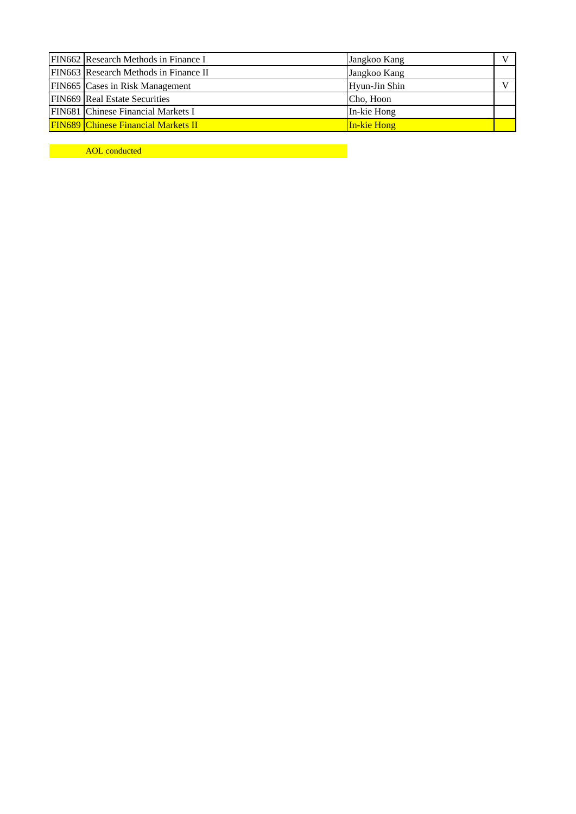| FIN662 Research Methods in Finance I       | Jangkoo Kang  |  |  |  |
|--------------------------------------------|---------------|--|--|--|
| FIN663 Research Methods in Finance II      | Jangkoo Kang  |  |  |  |
| FIN665 Cases in Risk Management            | Hyun-Jin Shin |  |  |  |
| <b>FIN669</b> Real Estate Securities       | Cho, Hoon     |  |  |  |
| FIN681 Chinese Financial Markets I         | In-kie Hong   |  |  |  |
| <b>FIN689 Chinese Financial Markets II</b> | In-kie Hong   |  |  |  |

AOL conducted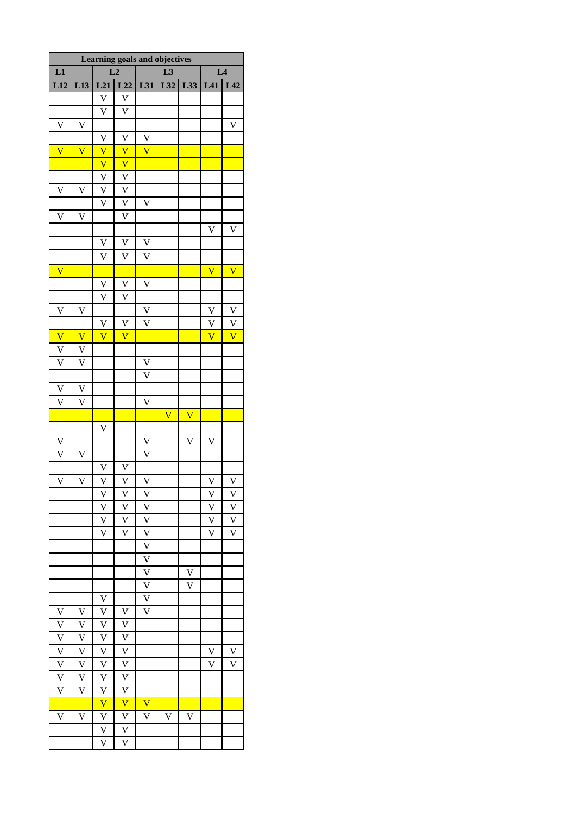| Learning goals and objectives |                         |                           |                         |                         |                         |                         |                         |                           |
|-------------------------------|-------------------------|---------------------------|-------------------------|-------------------------|-------------------------|-------------------------|-------------------------|---------------------------|
| L1<br>L2                      |                         |                           |                         |                         | L <sub>3</sub>          | L <sub>4</sub>          |                         |                           |
| L <sub>12</sub>               | L13                     | L21                       | L22                     | L31                     | L32                     | L33                     | L41                     | L42                       |
|                               |                         | $\boldsymbol{\mathrm{V}}$ | $\mathbf V$             |                         |                         |                         |                         |                           |
|                               |                         | $\overline{\mathsf{V}}$   | $\bar{V}$               |                         |                         |                         |                         |                           |
| $\mathbf V$                   | $\mathbf V$             |                           |                         |                         |                         |                         |                         | $\boldsymbol{\mathrm{V}}$ |
|                               |                         | V                         | V                       | V                       |                         |                         |                         |                           |
| $\overline{\mathbf{V}}$       | $\overline{\text{V}}$   | $\overline{\mathsf{V}}$   | $\overline{\mathsf{V}}$ | $\overline{\text{V}}$   |                         |                         |                         |                           |
|                               |                         | $\overline{\mathsf{V}}$   | $\overline{\mathsf{V}}$ |                         |                         |                         |                         |                           |
|                               |                         | $\mathbf V$               | $\mathbf V$             |                         |                         |                         |                         |                           |
| $\overline{\mathbf{V}}$       | $\overline{\mathsf{V}}$ | $\overline{\mathsf{V}}$   | $\overline{V}$          |                         |                         |                         |                         |                           |
|                               |                         | $\overline{\text{V}}$     | $\overline{V}$          | $\mathbf V$             |                         |                         |                         |                           |
| $\overline{\mathsf{V}}$       | V                       |                           | $\overline{\mathsf{V}}$ |                         |                         |                         |                         |                           |
|                               |                         |                           |                         |                         |                         |                         | $\mathbf V$             | $\mathbf V$               |
|                               |                         | $\overline{\mathsf{V}}$   | $\overline{\mathsf{V}}$ | $\overline{\mathsf{V}}$ |                         |                         |                         |                           |
|                               |                         | V                         | $\bar{V}$               | $\mathbf V$             |                         |                         |                         |                           |
| $\overline{\mathsf{V}}$       |                         |                           |                         |                         |                         |                         | $\overline{\text{V}}$   | $\overline{\text{V}}$     |
|                               |                         | V                         | V                       | V                       |                         |                         |                         |                           |
|                               |                         | $\overline{\text{V}}$     | $\overline{\mathsf{V}}$ |                         |                         |                         |                         |                           |
| $\overline{\mathbf{V}}$       | $\mathbf V$             |                           |                         | $\mathbf V$             |                         |                         | $\mathbf V$             | $\overline{\mathbf{V}}$   |
|                               |                         | V                         | V                       | $\overline{\text{V}}$   |                         |                         | $\overline{V}$          | $\overline{\mathsf{V}}$   |
| $\overline{\mathsf{V}}$       | $\overline{\mathbf{V}}$ | $\overline{\text{V}}$     | $\overline{\text{V}}$   |                         |                         |                         | $\overline{\text{V}}$   | $\overline{\text{V}}$     |
| $\overline{\mathbf{V}}$       | V                       |                           |                         |                         |                         |                         |                         |                           |
| $\overline{\text{V}}$         | $\overline{\mathsf{V}}$ |                           |                         | $\mathbf V$             |                         |                         |                         |                           |
|                               |                         |                           |                         | $\overline{\text{V}}$   |                         |                         |                         |                           |
| $\frac{V}{V}$                 | $\mathbf V$             |                           |                         |                         |                         |                         |                         |                           |
|                               | $\overline{\text{V}}$   |                           |                         | $\bar{\mathsf{V}}$      |                         |                         |                         |                           |
|                               |                         |                           |                         |                         | $\overline{\mathbf{V}}$ | $\overline{\mathsf{V}}$ |                         |                           |
|                               |                         | $\overline{\mathsf{V}}$   |                         |                         |                         |                         |                         |                           |
| $\overline{V}$                |                         |                           |                         | $\mathbf V$             |                         | $\overline{\mathsf{V}}$ | $\overline{\mathsf{V}}$ |                           |
| $\overline{\mathbf{V}}$       | V                       |                           |                         | $\bar{\mathsf{V}}$      |                         |                         |                         |                           |
|                               |                         | $\mathbf V$               | $\mathbf V$             |                         |                         |                         |                         |                           |
| $\overline{\mathbf{V}}$       | $\overline{\mathsf{V}}$ | $\overline{\mathsf{V}}$   | $\overline{\mathsf{V}}$ | $\overline{\mathsf{V}}$ |                         |                         | $\overline{\mathsf{V}}$ | $\overline{\mathsf{V}}$   |
|                               |                         | V                         | $\mathbf V$             | $\mathbf V$             |                         |                         | $\mathbf V$             | V                         |
|                               |                         | $\overline{V}$            | $\overline{\mathsf{V}}$ | $\mathbf V$             |                         |                         | $\overline{V}$          | $\overline{\mathsf{V}}$   |
|                               |                         | $\overline{\mathsf{V}}$   | $\overline{\mathsf{V}}$ | $\overline{\mathsf{V}}$ |                         |                         | $\overline{V}$          | $\overline{V}$            |
|                               |                         | $\overline{\text{V}}$     | $\overline{\text{V}}$   | $\overline{\mathsf{V}}$ |                         |                         | $\overline{\mathsf{V}}$ | $\overline{\text{V}}$     |
|                               |                         |                           |                         | $\overline{V}$          |                         |                         |                         |                           |
|                               |                         |                           |                         | $\overline{V}$          |                         |                         |                         |                           |
|                               |                         |                           |                         | $\overline{\mathsf{V}}$ |                         | $\mathbf V$             |                         |                           |
|                               |                         |                           |                         | $\overline{\mathsf{V}}$ |                         | $\overline{\mathsf{V}}$ |                         |                           |
|                               |                         | V                         |                         | $\overline{\mathsf{V}}$ |                         |                         |                         |                           |
| V                             | $\mathbf V$             | $\mathbf V$               | $\mathbf V$             | V                       |                         |                         |                         |                           |
| $\overline{\mathsf{V}}$       | $\overline{\mathsf{V}}$ | $\mathbf{V}$              | $\mathbf V$             |                         |                         |                         |                         |                           |
| $\overline{V}$                | $\mathbf V$             | $\overline{V}$            | $\overline{\mathsf{V}}$ |                         |                         |                         |                         |                           |
| $\overline{V}$                | $\overline{\mathsf{V}}$ | $\overline{V}$            | $\overline{\mathsf{V}}$ |                         |                         |                         | V                       | $\mathbf V$               |
| $\frac{V}{V}$                 | $\mathbf V$             | $\mathbf V$               | $\mathbf V$             |                         |                         |                         | $\bar{V}$               | V                         |
|                               | $\overline{\mathsf{V}}$ | $\overline{\mathsf{V}}$   | $\overline{\mathsf{V}}$ |                         |                         |                         |                         |                           |
| $\overline{\mathsf{V}}$       | V                       | $\frac{\nabla}{\nabla}$   | $\overline{\mathsf{V}}$ |                         |                         |                         |                         |                           |
|                               |                         |                           | $\overline{\text{V}}$   | $\overline{\mathsf{V}}$ |                         |                         |                         |                           |
| $\overline{\mathsf{V}}$       | $\overline{\mathsf{V}}$ | $\overline{\mathsf{V}}$   | $\overline{\mathsf{V}}$ | V                       | $\overline{\mathsf{V}}$ | $\overline{\mathsf{V}}$ |                         |                           |
|                               |                         | $\overline{\mathrm{V}}$   | $\overline{\mathsf{V}}$ |                         |                         |                         |                         |                           |
|                               |                         | $\overline{\text{V}}$     | $\overline{\text{V}}$   |                         |                         |                         |                         |                           |